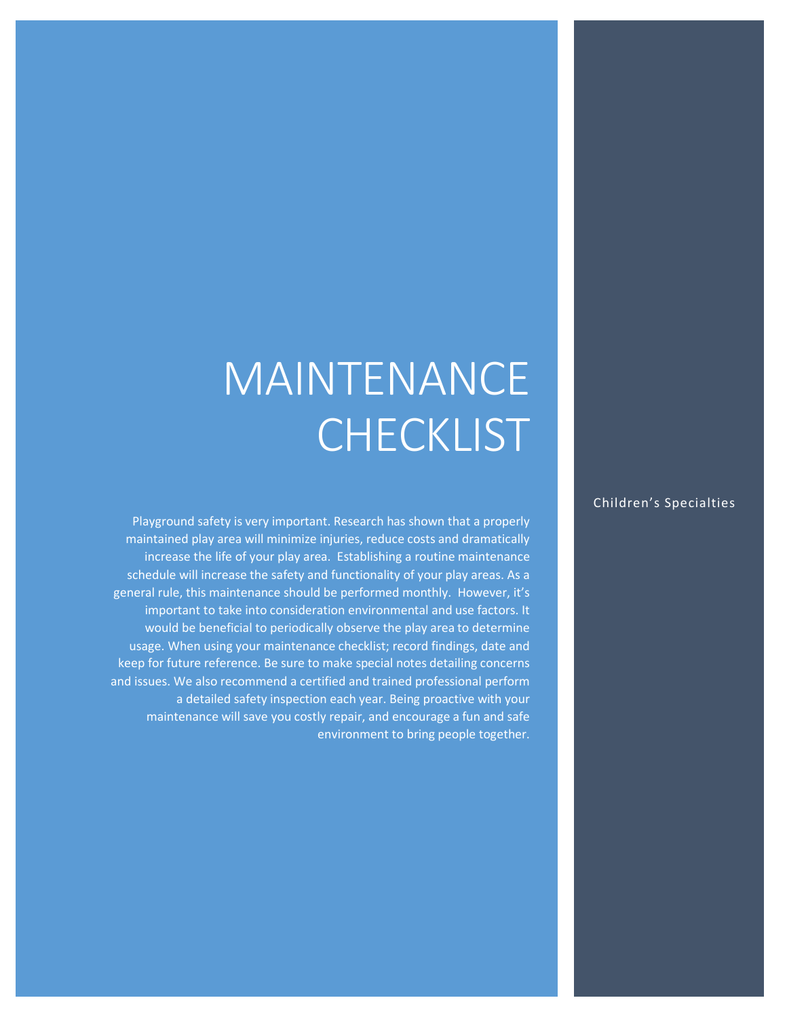## MAINTENANCE **CHECKLIST**

Playground safety is very important. Research has shown that a properly maintained play area will minimize injuries, reduce costs and dramatically increase the life of your play area. Establishing a routine maintenance schedule will increase the safety and functionality of your play areas. As a general rule, this maintenance should be performed monthly. However, it's important to take into consideration environmental and use factors. It would be beneficial to periodically observe the play area to determine usage. When using your maintenance checklist; record findings, date and keep for future reference. Be sure to make special notes detailing concerns and issues. We also recommend a certified and trained professional perform a detailed safety inspection each year. Being proactive with your maintenance will save you costly repair, and encourage a fun and safe environment to bring people together.

## Children's Specialties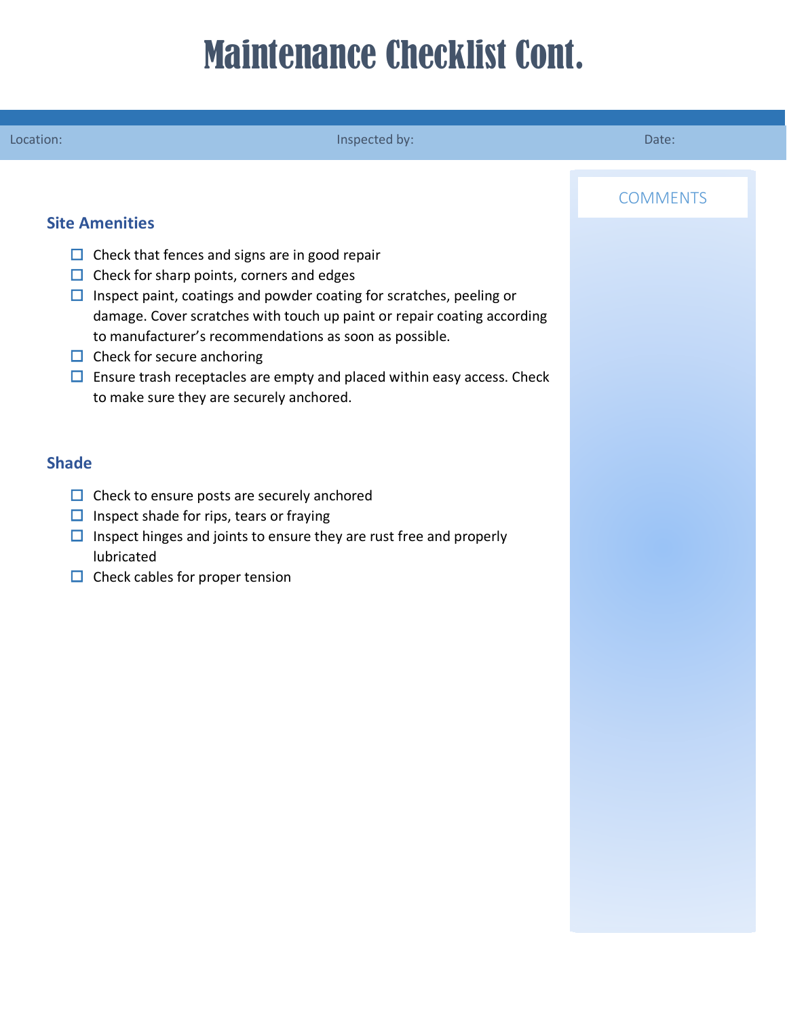## Maintenance Checklist Cont.

| Location:                                                                                                                                                                                                                                                                               | Inspected by:                                                                                                                                                                                                                     | Date:           |
|-----------------------------------------------------------------------------------------------------------------------------------------------------------------------------------------------------------------------------------------------------------------------------------------|-----------------------------------------------------------------------------------------------------------------------------------------------------------------------------------------------------------------------------------|-----------------|
| <b>Site Amenities</b><br>$\Box$ Check that fences and signs are in good repair<br>$\Box$ Check for sharp points, corners and edges<br>$\Box$<br>to manufacturer's recommendations as soon as possible.<br>$\Box$ Check for secure anchoring<br>to make sure they are securely anchored. | Inspect paint, coatings and powder coating for scratches, peeling or<br>damage. Cover scratches with touch up paint or repair coating according<br>$\Box$ Ensure trash receptacles are empty and placed within easy access. Check | <b>COMMENTS</b> |
| <b>Shade</b><br>$\Box$ Check to ensure posts are securely anchored<br>Inspect shade for rips, tears or fraying<br>$\Box$<br>$\Box$<br>lubricated<br>$\Box$ Check cables for proper tension                                                                                              | Inspect hinges and joints to ensure they are rust free and properly                                                                                                                                                               |                 |